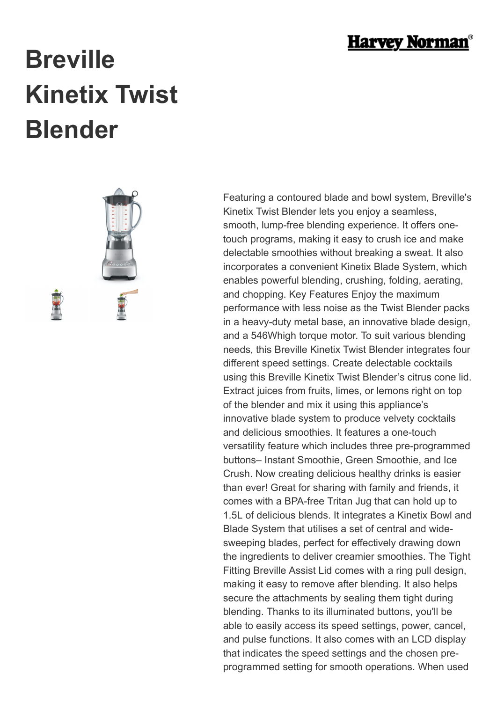

## **Breville Kinetix Twist Blender**



Featuring a contoured blade and bowl system, Breville's Kinetix Twist Blender lets you enjoy a seamless, smooth, lump-free blending experience. It offers onetouch programs, making it easy to crush ice and make delectable smoothies without breaking a sweat. It also incorporates a convenient Kinetix Blade System, which enables powerful blending, crushing, folding, aerating, and chopping. Key Features Enjoy the maximum performance with less noise as the Twist Blender packs in a heavy-duty metal base, an innovative blade design, and a 546Whigh torque motor. To suit various blending needs, this Breville Kinetix Twist Blender integrates four different speed settings. Create delectable cocktails using this Breville Kinetix Twist Blender's citrus cone lid. Extract juices from fruits, limes, or lemons right on top of the blender and mix it using this appliance's innovative blade system to produce velvety cocktails and delicious smoothies. It features a one-touch versatility feature which includes three pre-programmed buttons– Instant Smoothie, Green Smoothie, and Ice Crush. Now creating delicious healthy drinks is easier than ever! Great for sharing with family and friends, it comes with a BPA-free Tritan Jug that can hold up to 1.5L of delicious blends. It integrates a Kinetix Bowl and Blade System that utilises a set of central and widesweeping blades, perfect for effectively drawing down the ingredients to deliver creamier smoothies. The Tight Fitting Breville Assist Lid comes with a ring pull design, making it easy to remove after blending. It also helps secure the attachments by sealing them tight during blending. Thanks to its illuminated buttons, you'll be able to easily access its speed settings, power, cancel, and pulse functions. It also comes with an LCD display that indicates the speed settings and the chosen preprogrammed setting for smooth operations. When used